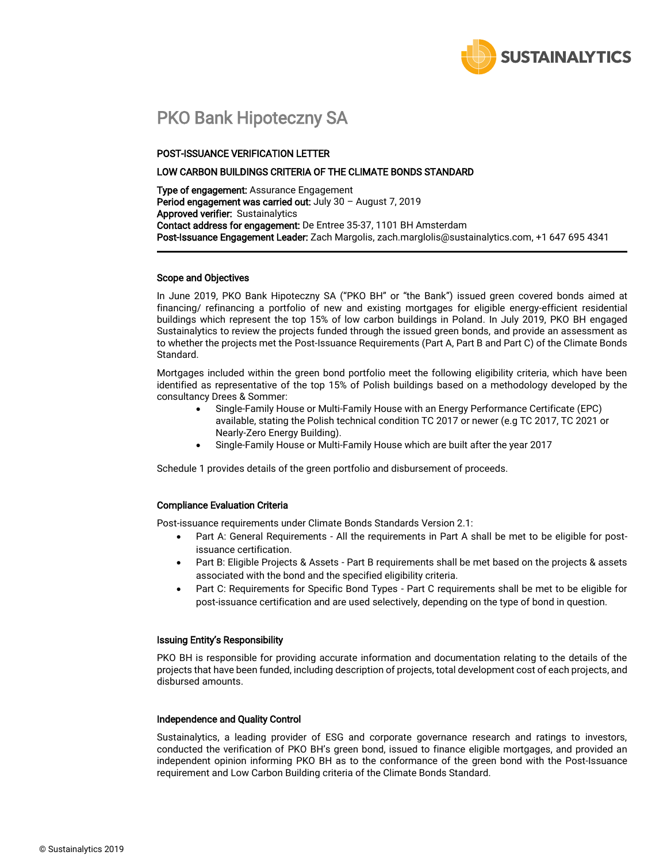

## PKO Bank Hipoteczny SA

#### POST-ISSUANCE VERIFICATION LETTER

#### LOW CARBON BUILDINGS CRITERIA OF THE CLIMATE BONDS STANDARD

Type of engagement: Assurance Engagement Period engagement was carried out: July 30 - August 7, 2019 Approved verifier: Sustainalytics Contact address for engagement: De Entree 35-37, 1101 BH Amsterdam Post-Issuance Engagement Leader: Zach Margolis, zach.marglolis@sustainalytics.com, +1 647 695 4341

#### Scope and Objectives

In June 2019, PKO Bank Hipoteczny SA ("PKO BH" or "the Bank") issued green covered bonds aimed at financing/ refinancing a portfolio of new and existing mortgages for eligible energy-efficient residential buildings which represent the top 15% of low carbon buildings in Poland. In July 2019, PKO BH engaged Sustainalytics to review the projects funded through the issued green bonds, and provide an assessment as to whether the projects met the Post-Issuance Requirements (Part A, Part B and Part C) of the Climate Bonds Standard.

Mortgages included within the green bond portfolio meet the following eligibility criteria, which have been identified as representative of the top 15% of Polish buildings based on a methodology developed by the consultancy Drees & Sommer:

- Single-Family House or Multi-Family House with an Energy Performance Certificate (EPC) available, stating the Polish technical condition TC 2017 or newer (e.g TC 2017, TC 2021 or Nearly-Zero Energy Building).
	- Single-Family House or Multi-Family House which are built after the year 2017

Schedule 1 provides details of the green portfolio and disbursement of proceeds.

#### Compliance Evaluation Criteria

Post-issuance requirements under Climate Bonds Standards Version 2.1:

- Part A: General Requirements All the requirements in Part A shall be met to be eligible for postissuance certification.
- Part B: Eligible Projects & Assets Part B requirements shall be met based on the projects & assets associated with the bond and the specified eligibility criteria.
- Part C: Requirements for Specific Bond Types Part C requirements shall be met to be eligible for post-issuance certification and are used selectively, depending on the type of bond in question.

#### Issuing Entity's Responsibility

PKO BH is responsible for providing accurate information and documentation relating to the details of the projects that have been funded, including description of projects, total development cost of each projects, and disbursed amounts.

#### Independence and Quality Control

Sustainalytics, a leading provider of ESG and corporate governance research and ratings to investors, conducted the verification of PKO BH's green bond, issued to finance eligible mortgages, and provided an independent opinion informing PKO BH as to the conformance of the green bond with the Post-Issuance requirement and Low Carbon Building criteria of the Climate Bonds Standard.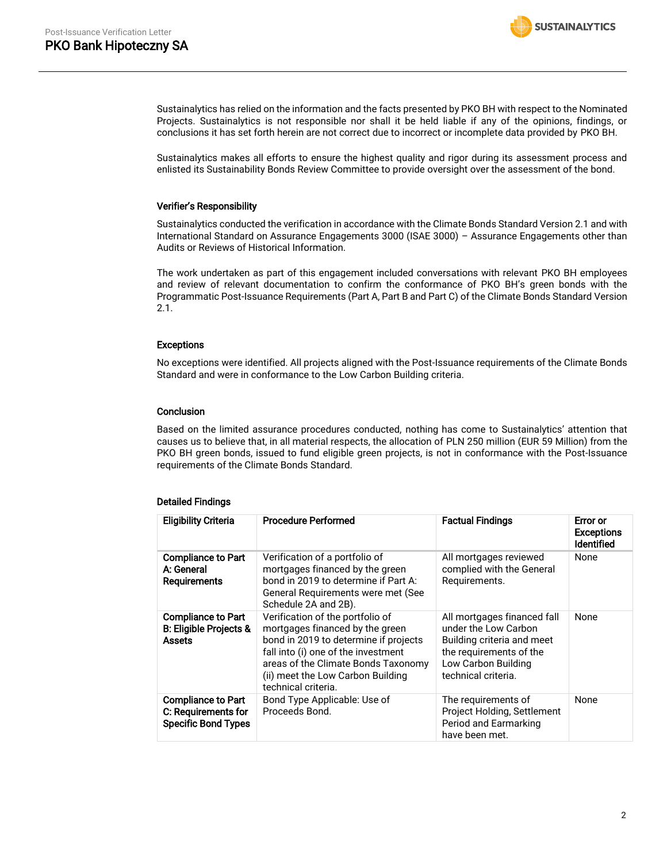

Sustainalytics has relied on the information and the facts presented by PKO BH with respect to the Nominated Projects. Sustainalytics is not responsible nor shall it be held liable if any of the opinions, findings, or conclusions it has set forth herein are not correct due to incorrect or incomplete data provided by PKO BH.

Sustainalytics makes all efforts to ensure the highest quality and rigor during its assessment process and enlisted its Sustainability Bonds Review Committee to provide oversight over the assessment of the bond.

#### Verifier's Responsibility

Sustainalytics conducted the verification in accordance with the Climate Bonds Standard Version 2.1 and with International Standard on Assurance Engagements 3000 (ISAE 3000) – Assurance Engagements other than Audits or Reviews of Historical Information.

The work undertaken as part of this engagement included conversations with relevant PKO BH employees and review of relevant documentation to confirm the conformance of PKO BH's green bonds with the Programmatic Post-Issuance Requirements (Part A, Part B and Part C) of the Climate Bonds Standard Version 2.1.

#### Exceptions

No exceptions were identified. All projects aligned with the Post-Issuance requirements of the Climate Bonds Standard and were in conformance to the Low Carbon Building criteria.

#### **Conclusion**

Based on the limited assurance procedures conducted, nothing has come to Sustainalytics' attention that causes us to believe that, in all material respects, the allocation of PLN 250 million (EUR 59 Million) from the PKO BH green bonds, issued to fund eligible green projects, is not in conformance with the Post-Issuance requirements of the Climate Bonds Standard.

#### Detailed Findings

| <b>Eligibility Criteria</b>                                                    | <b>Procedure Performed</b>                                                                                                                                                                                                                             | <b>Factual Findings</b>                                                                                                                                    | Error or<br><b>Exceptions</b><br><b>Identified</b> |
|--------------------------------------------------------------------------------|--------------------------------------------------------------------------------------------------------------------------------------------------------------------------------------------------------------------------------------------------------|------------------------------------------------------------------------------------------------------------------------------------------------------------|----------------------------------------------------|
| <b>Compliance to Part</b><br>A: General<br><b>Requirements</b>                 | Verification of a portfolio of<br>mortgages financed by the green<br>bond in 2019 to determine if Part A:<br>General Requirements were met (See<br>Schedule 2A and 2B).                                                                                | All mortgages reviewed<br>complied with the General<br>Requirements.                                                                                       | None                                               |
| <b>Compliance to Part</b><br>B: Eligible Projects &<br><b>Assets</b>           | Verification of the portfolio of<br>mortgages financed by the green<br>bond in 2019 to determine if projects<br>fall into (i) one of the investment<br>areas of the Climate Bonds Taxonomy<br>(ii) meet the Low Carbon Building<br>technical criteria. | All mortgages financed fall<br>under the Low Carbon<br>Building criteria and meet<br>the requirements of the<br>Low Carbon Building<br>technical criteria. | None                                               |
| <b>Compliance to Part</b><br>C: Requirements for<br><b>Specific Bond Types</b> | Bond Type Applicable: Use of<br>Proceeds Bond.                                                                                                                                                                                                         | The requirements of<br>Project Holding, Settlement<br>Period and Earmarking<br>have been met.                                                              | None                                               |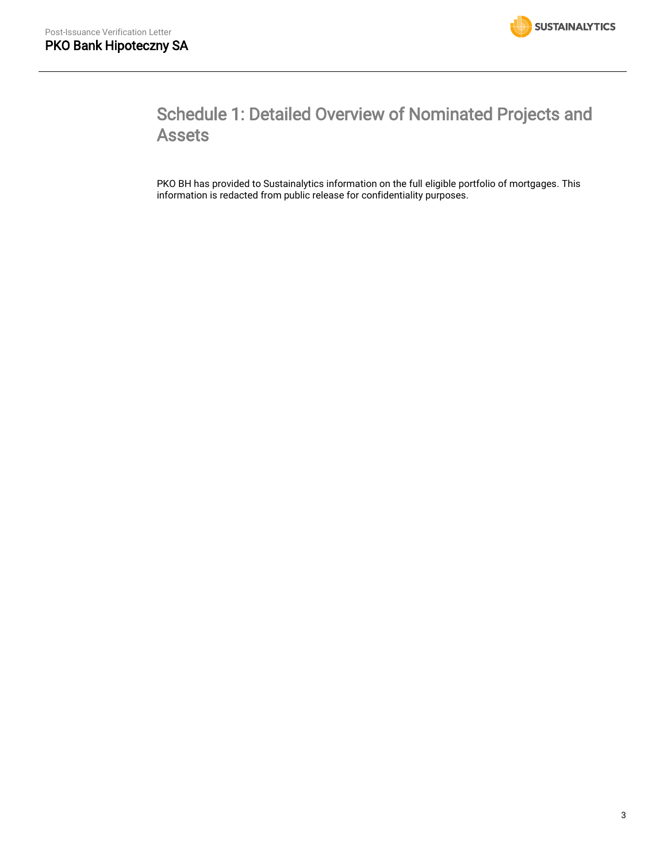

# Schedule 1: Detailed Overview of Nominated Projects and Assets

PKO BH has provided to Sustainalytics information on the full eligible portfolio of mortgages. This information is redacted from public release for confidentiality purposes.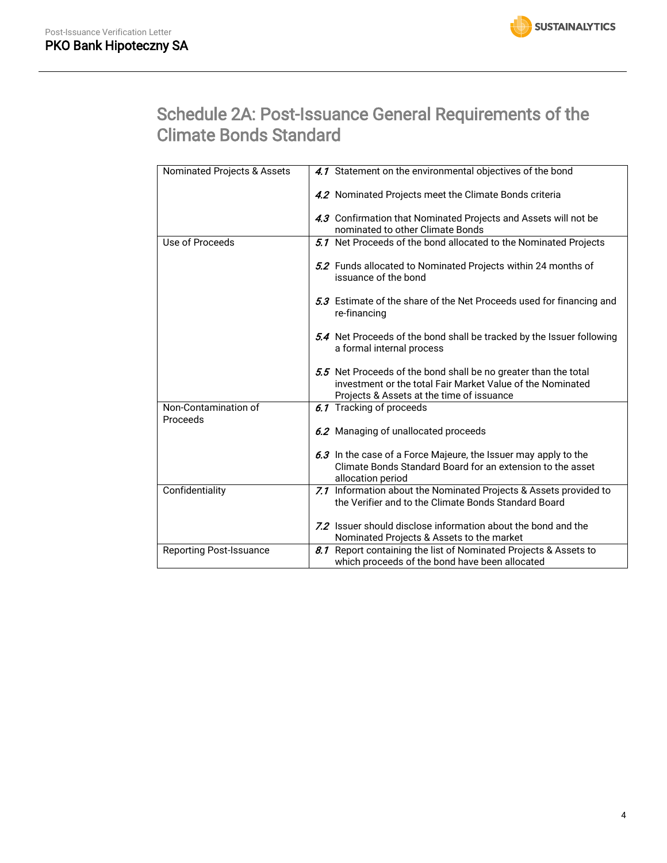

# Schedule 2A: Post-Issuance General Requirements of the Climate Bonds Standard

| Nominated Projects & Assets      | 4.1 Statement on the environmental objectives of the bond                                                                                                                  |
|----------------------------------|----------------------------------------------------------------------------------------------------------------------------------------------------------------------------|
|                                  | 4.2 Nominated Projects meet the Climate Bonds criteria                                                                                                                     |
|                                  | 4.3 Confirmation that Nominated Projects and Assets will not be                                                                                                            |
|                                  | nominated to other Climate Bonds                                                                                                                                           |
| Use of Proceeds                  | 5.1 Net Proceeds of the bond allocated to the Nominated Projects                                                                                                           |
|                                  | 5.2 Funds allocated to Nominated Projects within 24 months of<br>issuance of the bond                                                                                      |
|                                  | 5.3 Estimate of the share of the Net Proceeds used for financing and<br>re-financing                                                                                       |
|                                  | 5.4 Net Proceeds of the bond shall be tracked by the Issuer following<br>a formal internal process                                                                         |
|                                  | 5.5 Net Proceeds of the bond shall be no greater than the total<br>investment or the total Fair Market Value of the Nominated<br>Projects & Assets at the time of issuance |
| Non-Contamination of<br>Proceeds | 6.1 Tracking of proceeds                                                                                                                                                   |
|                                  | 6.2 Managing of unallocated proceeds                                                                                                                                       |
|                                  | 6.3 In the case of a Force Majeure, the Issuer may apply to the                                                                                                            |
|                                  | Climate Bonds Standard Board for an extension to the asset<br>allocation period                                                                                            |
| Confidentiality                  | 7.1 Information about the Nominated Projects & Assets provided to                                                                                                          |
|                                  | the Verifier and to the Climate Bonds Standard Board                                                                                                                       |
|                                  | 7.2 Issuer should disclose information about the bond and the                                                                                                              |
|                                  | Nominated Projects & Assets to the market                                                                                                                                  |
| <b>Reporting Post-Issuance</b>   | 8.1 Report containing the list of Nominated Projects & Assets to                                                                                                           |
|                                  | which proceeds of the bond have been allocated                                                                                                                             |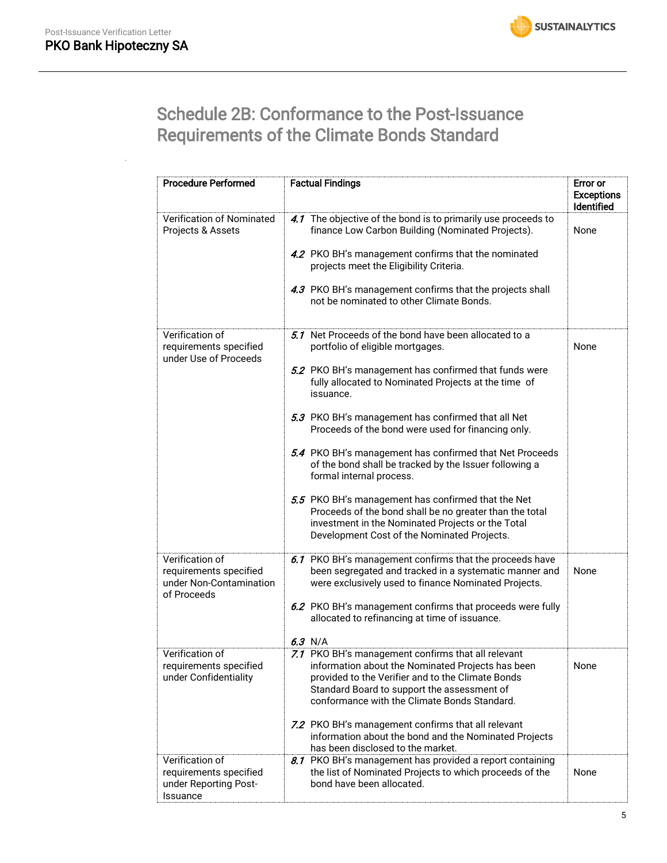

# Schedule 2B: Conformance to the Post-Issuance Requirements of the Climate Bonds Standard

| <b>Procedure Performed</b>                                                          | <b>Factual Findings</b>                                                                                                                                                                                                                                                                                                                                                                                                                                                                                                                                                                                                                                                                                   | Error or<br><b>Exceptions</b><br>Identified |
|-------------------------------------------------------------------------------------|-----------------------------------------------------------------------------------------------------------------------------------------------------------------------------------------------------------------------------------------------------------------------------------------------------------------------------------------------------------------------------------------------------------------------------------------------------------------------------------------------------------------------------------------------------------------------------------------------------------------------------------------------------------------------------------------------------------|---------------------------------------------|
| Verification of Nominated<br>Projects & Assets                                      | 4.1 The objective of the bond is to primarily use proceeds to<br>finance Low Carbon Building (Nominated Projects).<br>4.2 PKO BH's management confirms that the nominated<br>projects meet the Eligibility Criteria.<br>4.3 PKO BH's management confirms that the projects shall<br>not be nominated to other Climate Bonds.                                                                                                                                                                                                                                                                                                                                                                              | None                                        |
| Verification of<br>requirements specified<br>under Use of Proceeds                  | 5.1 Net Proceeds of the bond have been allocated to a<br>portfolio of eligible mortgages.<br>5.2 PKO BH's management has confirmed that funds were<br>fully allocated to Nominated Projects at the time of<br>issuance.<br>5.3 PKO BH's management has confirmed that all Net<br>Proceeds of the bond were used for financing only.<br>5.4 PKO BH's management has confirmed that Net Proceeds<br>of the bond shall be tracked by the Issuer following a<br>formal internal process.<br>5.5 PKO BH's management has confirmed that the Net<br>Proceeds of the bond shall be no greater than the total<br>investment in the Nominated Projects or the Total<br>Development Cost of the Nominated Projects. | None                                        |
| Verification of<br>requirements specified<br>under Non-Contamination<br>of Proceeds | 6.1 PKO BH's management confirms that the proceeds have<br>been segregated and tracked in a systematic manner and<br>were exclusively used to finance Nominated Projects.<br>6.2 PKO BH's management confirms that proceeds were fully<br>allocated to refinancing at time of issuance.<br>$6.3$ N/A                                                                                                                                                                                                                                                                                                                                                                                                      | None                                        |
| Verification of<br>requirements specified<br>under Confidentiality                  | 7.1 PKO BH's management confirms that all relevant<br>information about the Nominated Projects has been<br>provided to the Verifier and to the Climate Bonds<br>Standard Board to support the assessment of<br>conformance with the Climate Bonds Standard.<br>7.2 PKO BH's management confirms that all relevant<br>information about the bond and the Nominated Projects<br>has been disclosed to the market.                                                                                                                                                                                                                                                                                           | None                                        |
| Verification of<br>requirements specified<br>under Reporting Post-<br>Issuance      | 8.1 PKO BH's management has provided a report containing<br>the list of Nominated Projects to which proceeds of the<br>bond have been allocated.                                                                                                                                                                                                                                                                                                                                                                                                                                                                                                                                                          | None                                        |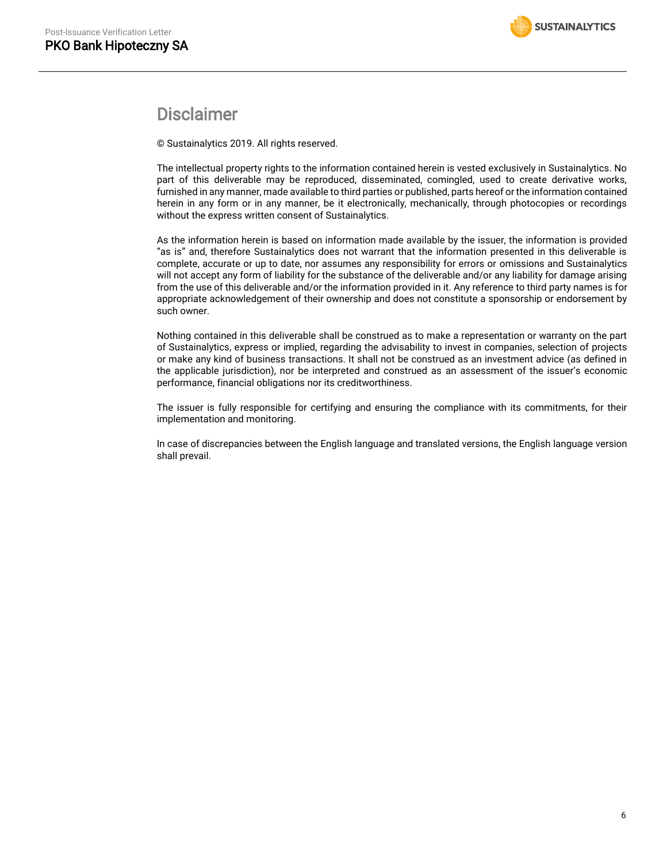### Disclaimer

© Sustainalytics 2019. All rights reserved.

The intellectual property rights to the information contained herein is vested exclusively in Sustainalytics. No part of this deliverable may be reproduced, disseminated, comingled, used to create derivative works, furnished in any manner, made available to third parties or published, parts hereof or the information contained herein in any form or in any manner, be it electronically, mechanically, through photocopies or recordings without the express written consent of Sustainalytics.

As the information herein is based on information made available by the issuer, the information is provided "as is" and, therefore Sustainalytics does not warrant that the information presented in this deliverable is complete, accurate or up to date, nor assumes any responsibility for errors or omissions and Sustainalytics will not accept any form of liability for the substance of the deliverable and/or any liability for damage arising from the use of this deliverable and/or the information provided in it. Any reference to third party names is for appropriate acknowledgement of their ownership and does not constitute a sponsorship or endorsement by such owner.

Nothing contained in this deliverable shall be construed as to make a representation or warranty on the part of Sustainalytics, express or implied, regarding the advisability to invest in companies, selection of projects or make any kind of business transactions. It shall not be construed as an investment advice (as defined in the applicable jurisdiction), nor be interpreted and construed as an assessment of the issuer's economic performance, financial obligations nor its creditworthiness.

The issuer is fully responsible for certifying and ensuring the compliance with its commitments, for their implementation and monitoring.

In case of discrepancies between the English language and translated versions, the English language version shall prevail.